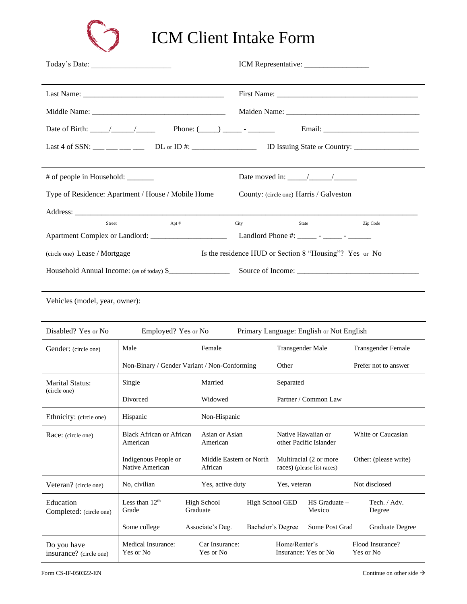

ICM Client Intake Form

| Today's Date:                                                                                       |                                                                                |  |  |  |
|-----------------------------------------------------------------------------------------------------|--------------------------------------------------------------------------------|--|--|--|
|                                                                                                     |                                                                                |  |  |  |
|                                                                                                     |                                                                                |  |  |  |
|                                                                                                     |                                                                                |  |  |  |
|                                                                                                     |                                                                                |  |  |  |
| # of people in Household: ________<br>Type of Residence: Apartment / House / Mobile Home            | Date moved in: $\frac{\sqrt{2}}{2}$<br>County: (circle one) Harris / Galveston |  |  |  |
|                                                                                                     |                                                                                |  |  |  |
| Street<br>Apt #                                                                                     | Zip Code<br>City<br>State                                                      |  |  |  |
| Apartment Complex or Landlord: _______________________<br>Landlord Phone #: ______ - _____ - ______ |                                                                                |  |  |  |
| (circle one) Lease / Mortgage                                                                       | Is the residence HUD or Section 8 "Housing"? Yes or No                         |  |  |  |
| Household Annual Income: (as of today) \$                                                           |                                                                                |  |  |  |
| Vehicles (model, year, owner):                                                                      |                                                                                |  |  |  |

| Disabled? Yes or No                    | Employed? Yes or No                          |  |                                    |                  | Primary Language: English or Not English             |                             |                       |                               |
|----------------------------------------|----------------------------------------------|--|------------------------------------|------------------|------------------------------------------------------|-----------------------------|-----------------------|-------------------------------|
| Gender: (circle one)                   | Male<br>Female                               |  |                                    | Transgender Male |                                                      |                             |                       | Transgender Female            |
|                                        | Non-Binary / Gender Variant / Non-Conforming |  |                                    | Other            |                                                      |                             | Prefer not to answer  |                               |
| <b>Marital Status:</b>                 | Single                                       |  | Married                            |                  | Separated                                            |                             |                       |                               |
| (circle one)                           | Divorced                                     |  | Widowed                            |                  | Partner / Common Law                                 |                             |                       |                               |
| Ethnicity: (circle one)                | Hispanic                                     |  | Non-Hispanic                       |                  |                                                      |                             |                       |                               |
| Race: (circle one)                     | Black African or African<br>American         |  | Asian or Asian<br>American         |                  | Native Hawaiian or<br>other Pacific Islander         |                             | White or Caucasian    |                               |
|                                        | Indigenous People or<br>Native American      |  | Middle Eastern or North<br>African |                  | Multiracial (2 or more<br>races) (please list races) |                             | Other: (please write) |                               |
| Veteran? (circle one)                  | No, civilian                                 |  | Yes, active duty                   |                  | Yes, veteran                                         |                             |                       | Not disclosed                 |
| Education<br>Completed: (circle one)   | Less than $12th$<br>Grade                    |  | High School<br>Graduate            | High School GED  |                                                      | $HS$ Graduate $-$<br>Mexico |                       | Tech. / Adv.<br>Degree        |
|                                        | Some college                                 |  | Associate's Deg.                   |                  | Bachelor's Degree                                    | Some Post Grad              |                       | Graduate Degree               |
| Do you have<br>insurance? (circle one) | Medical Insurance:<br>Yes or No              |  | Car Insurance:<br>Yes or No        |                  | Home/Renter's                                        | Insurance: Yes or No.       |                       | Flood Insurance?<br>Yes or No |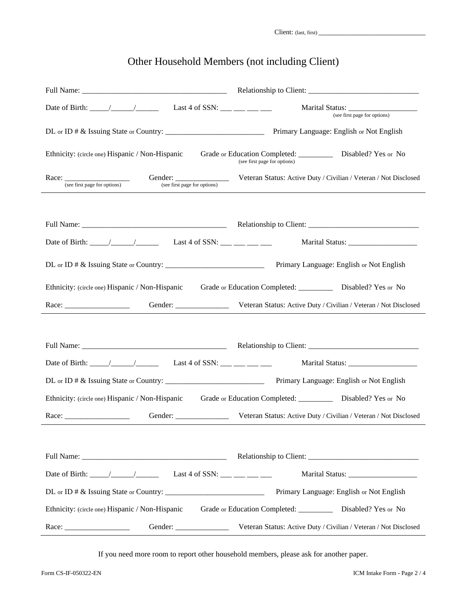Client: (last, first) \_\_\_\_\_\_\_\_\_\_\_\_\_\_\_\_\_\_\_\_\_\_\_\_\_\_\_\_

## Other Household Members (not including Client)

| Last 4 of SSN: $\_\_\_\_\_\_\_\_\_\_\_\_\_\_\_\_\_\_$                                                         | (see first page for options)                                                                   |  |  |  |
|---------------------------------------------------------------------------------------------------------------|------------------------------------------------------------------------------------------------|--|--|--|
|                                                                                                               |                                                                                                |  |  |  |
| Ethnicity: (circle one) Hispanic / Non-Hispanic                                                               | Grade or Education Completed: ____________ Disabled? Yes or No<br>(see first page for options) |  |  |  |
| (see first page for options)<br>(see first page for options)                                                  | Veteran Status: Active Duty / Civilian / Veteran / Not Disclosed                               |  |  |  |
|                                                                                                               |                                                                                                |  |  |  |
|                                                                                                               |                                                                                                |  |  |  |
|                                                                                                               |                                                                                                |  |  |  |
|                                                                                                               | Primary Language: English or Not English                                                       |  |  |  |
| Ethnicity: (circle one) Hispanic / Non-Hispanic Grade or Education Completed: __________ Disabled? Yes or No  |                                                                                                |  |  |  |
|                                                                                                               | Veteran Status: Active Duty / Civilian / Veteran / Not Disclosed                               |  |  |  |
|                                                                                                               |                                                                                                |  |  |  |
|                                                                                                               |                                                                                                |  |  |  |
|                                                                                                               |                                                                                                |  |  |  |
|                                                                                                               |                                                                                                |  |  |  |
| Ethnicity: (circle one) Hispanic / Non-Hispanic Grade or Education Completed: _________ Disabled? Yes or No   |                                                                                                |  |  |  |
| Gender:                                                                                                       | Veteran Status: Active Duty / Civilian / Veteran / Not Disclosed                               |  |  |  |
|                                                                                                               |                                                                                                |  |  |  |
|                                                                                                               |                                                                                                |  |  |  |
|                                                                                                               | Marital Status: _____________________                                                          |  |  |  |
|                                                                                                               | Primary Language: English or Not English                                                       |  |  |  |
| Ethnicity: (circle one) Hispanic / Non-Hispanic Grade or Education Completed: ___________ Disabled? Yes or No |                                                                                                |  |  |  |
|                                                                                                               | Veteran Status: Active Duty / Civilian / Veteran / Not Disclosed                               |  |  |  |

If you need more room to report other household members, please ask for another paper.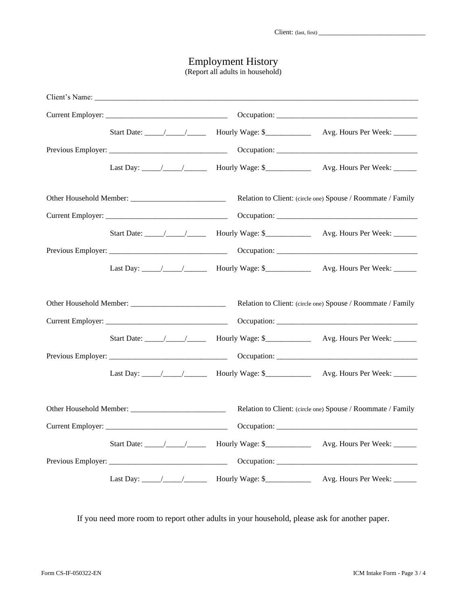## Employment History

(Report all adults in household)

|  |  | Relation to Client: (circle one) Spouse / Roommate / Family |
|--|--|-------------------------------------------------------------|
|  |  |                                                             |
|  |  |                                                             |
|  |  |                                                             |
|  |  |                                                             |
|  |  | Relation to Client: (circle one) Spouse / Roommate / Family |
|  |  |                                                             |
|  |  |                                                             |
|  |  |                                                             |
|  |  | Relation to Client: (circle one) Spouse / Roommate / Family |
|  |  |                                                             |
|  |  |                                                             |
|  |  |                                                             |
|  |  |                                                             |

If you need more room to report other adults in your household, please ask for another paper.